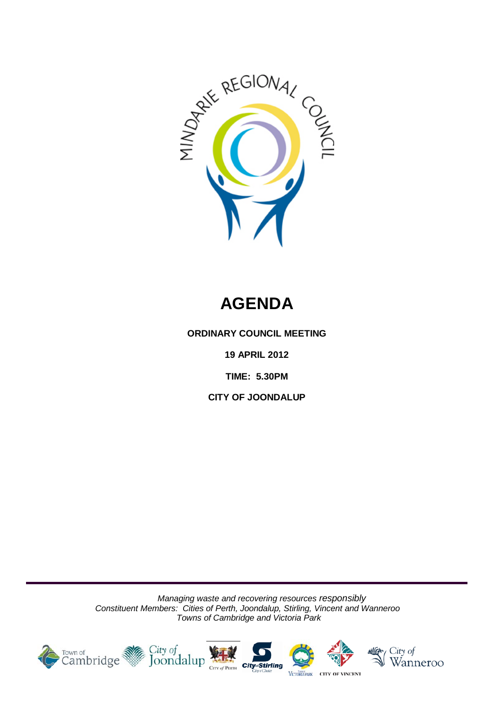

# **AGENDA**

**ORDINARY COUNCIL MEETING**

**19 APRIL 2012**

**TIME: 5.30PM**

**CITY OF JOONDALUP**

*Managing waste and recovering resources responsibly Constituent Members: Cities of Perth, Joondalup, Stirling, Vincent and Wanneroo Towns of Cambridge and Victoria Park*

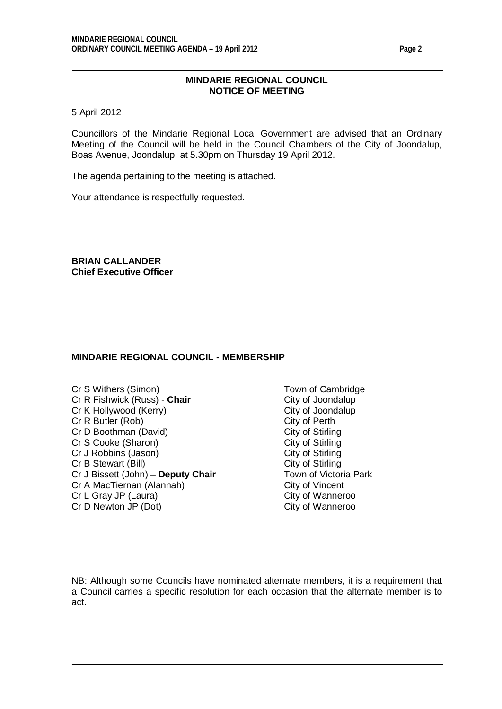## **MINDARIE REGIONAL COUNCIL NOTICE OF MEETING**

5 April 2012

Councillors of the Mindarie Regional Local Government are advised that an Ordinary Meeting of the Council will be held in the Council Chambers of the City of Joondalup, Boas Avenue, Joondalup, at 5.30pm on Thursday 19 April 2012.

The agenda pertaining to the meeting is attached.

Your attendance is respectfully requested.

**BRIAN CALLANDER Chief Executive Officer**

#### **MINDARIE REGIONAL COUNCIL - MEMBERSHIP**

- Cr S Withers (Simon) Town of Cambridge Cr R Fishwick (Russ) - **Chair** City of Joondalup Cr K Hollywood (Kerry) Cr K Hollywood (Kerry) City of Joond<br>
Cr R Butler (Rob) Cr R Butler (Rob) Cr R Butler (Rob)<br>
Cr D Boothman (David) City of Stirling Cr D Boothman (David) Cr S Cooke (Sharon) City of Stirling<br>
Cr J Robbins (Jason) City of Stirling Cr J Robbins (Jason) Cr B Stewart (Bill)<br>Cr J Bissett (John) – **Deputy Chair** Cr J Bissett (John) – **Deputy Chair** Town of Victoria Park Cr J Bissett (John) – **Deputy Chair** Town of Victoria<br>
Cr A MacTiernan (Alannah) City of Vincent Cr A MacTiernan (Alannah) City of Vincent<br>
Cr L Gray JP (Laura) City of Wanneroo Cr L Gray JP (Laura) Cr D Newton JP (Dot) City of Wanneroo
	-

NB: Although some Councils have nominated alternate members, it is a requirement that a Council carries a specific resolution for each occasion that the alternate member is to act.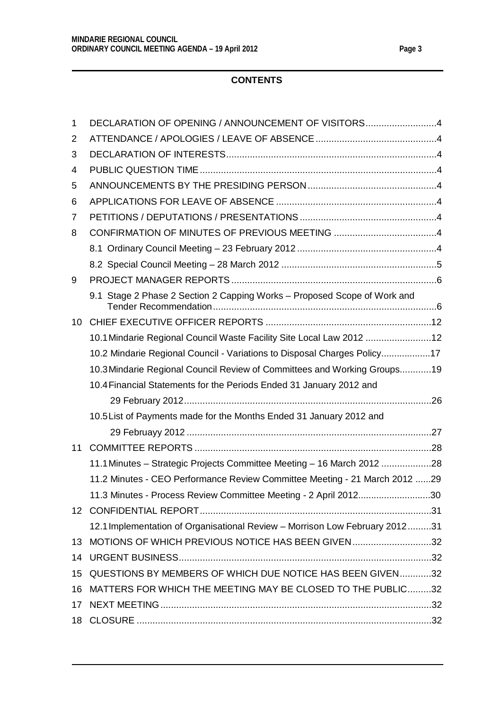# **CONTENTS**

| 1  | DECLARATION OF OPENING / ANNOUNCEMENT OF VISITORS4                          |
|----|-----------------------------------------------------------------------------|
| 2  |                                                                             |
| 3  |                                                                             |
| 4  |                                                                             |
| 5  |                                                                             |
| 6  |                                                                             |
| 7  |                                                                             |
| 8  |                                                                             |
|    |                                                                             |
|    |                                                                             |
| 9  |                                                                             |
|    | 9.1 Stage 2 Phase 2 Section 2 Capping Works - Proposed Scope of Work and    |
| 10 |                                                                             |
|    | 10.1 Mindarie Regional Council Waste Facility Site Local Law 2012 12        |
|    | 10.2 Mindarie Regional Council - Variations to Disposal Charges Policy17    |
|    | 10.3 Mindarie Regional Council Review of Committees and Working Groups19    |
|    | 10.4 Financial Statements for the Periods Ended 31 January 2012 and         |
|    |                                                                             |
|    | 10.5 List of Payments made for the Months Ended 31 January 2012 and         |
|    |                                                                             |
| 11 |                                                                             |
|    | 11.1 Minutes - Strategic Projects Committee Meeting - 16 March 2012 28      |
|    | 11.2 Minutes - CEO Performance Review Committee Meeting - 21 March 2012 29  |
|    | 11.3 Minutes - Process Review Committee Meeting - 2 April 201230            |
|    |                                                                             |
|    | 12.1 Implementation of Organisational Review - Morrison Low February 201231 |
| 13 | MOTIONS OF WHICH PREVIOUS NOTICE HAS BEEN GIVEN32                           |
| 14 |                                                                             |
| 15 | QUESTIONS BY MEMBERS OF WHICH DUE NOTICE HAS BEEN GIVEN32                   |
| 16 | MATTERS FOR WHICH THE MEETING MAY BE CLOSED TO THE PUBLIC32                 |
| 17 |                                                                             |
| 18 |                                                                             |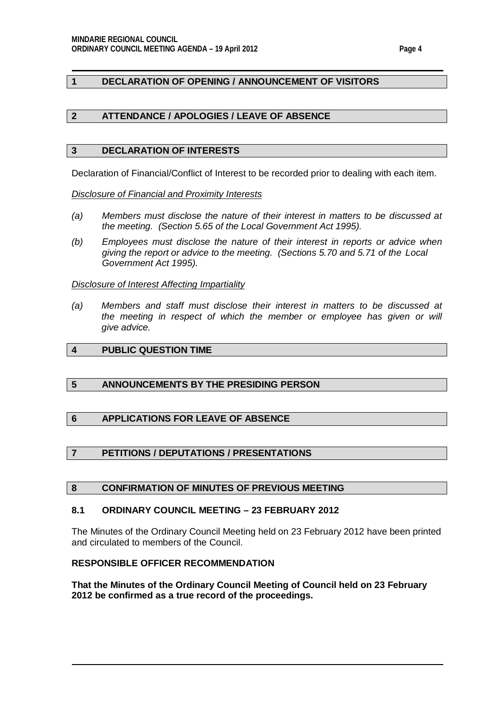## <span id="page-3-0"></span>**1 DECLARATION OF OPENING / ANNOUNCEMENT OF VISITORS**

## <span id="page-3-1"></span>**2 ATTENDANCE / APOLOGIES / LEAVE OF ABSENCE**

#### <span id="page-3-2"></span>**3 DECLARATION OF INTERESTS**

Declaration of Financial/Conflict of Interest to be recorded prior to dealing with each item.

*Disclosure of Financial and Proximity Interests*

- *(a) Members must disclose the nature of their interest in matters to be discussed at the meeting. (Section 5.65 of the Local Government Act 1995).*
- *(b) Employees must disclose the nature of their interest in reports or advice when giving the report or advice to the meeting. (Sections 5.70 and 5.71 of the Local Government Act 1995).*

*Disclosure of Interest Affecting Impartiality*

*(a) Members and staff must disclose their interest in matters to be discussed at the meeting in respect of which the member or employee has given or will give advice.*

## <span id="page-3-3"></span>**4 PUBLIC QUESTION TIME**

#### <span id="page-3-4"></span>**5 ANNOUNCEMENTS BY THE PRESIDING PERSON**

## <span id="page-3-5"></span>**6 APPLICATIONS FOR LEAVE OF ABSENCE**

## <span id="page-3-6"></span>**7 PETITIONS / DEPUTATIONS / PRESENTATIONS**

#### <span id="page-3-7"></span>**8 CONFIRMATION OF MINUTES OF PREVIOUS MEETING**

#### <span id="page-3-8"></span>**8.1 ORDINARY COUNCIL MEETING – 23 FEBRUARY 2012**

The Minutes of the Ordinary Council Meeting held on 23 February 2012 have been printed and circulated to members of the Council.

### **RESPONSIBLE OFFICER RECOMMENDATION**

**That the Minutes of the Ordinary Council Meeting of Council held on 23 February 2012 be confirmed as a true record of the proceedings.**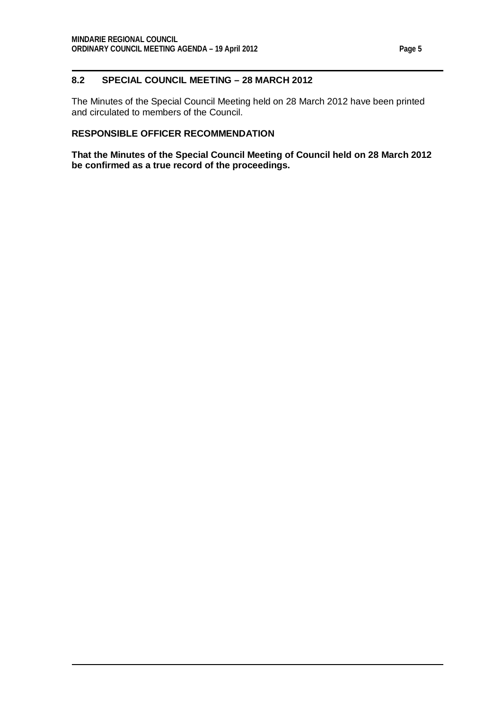## <span id="page-4-0"></span>**8.2 SPECIAL COUNCIL MEETING – 28 MARCH 2012**

The Minutes of the Special Council Meeting held on 28 March 2012 have been printed and circulated to members of the Council.

## **RESPONSIBLE OFFICER RECOMMENDATION**

**That the Minutes of the Special Council Meeting of Council held on 28 March 2012 be confirmed as a true record of the proceedings.**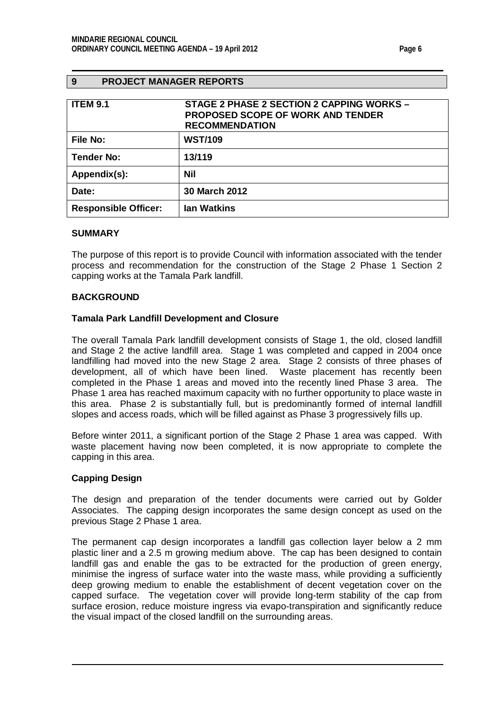## <span id="page-5-0"></span>**9 PROJECT MANAGER REPORTS**

<span id="page-5-1"></span>

| <b>ITEM 9.1</b>             | STAGE 2 PHASE 2 SECTION 2 CAPPING WORKS -<br><b>PROPOSED SCOPE OF WORK AND TENDER</b><br><b>RECOMMENDATION</b> |
|-----------------------------|----------------------------------------------------------------------------------------------------------------|
| File No:                    | <b>WST/109</b>                                                                                                 |
| <b>Tender No:</b>           | 13/119                                                                                                         |
| Appendix(s):                | <b>Nil</b>                                                                                                     |
| Date:                       | <b>30 March 2012</b>                                                                                           |
| <b>Responsible Officer:</b> | <b>lan Watkins</b>                                                                                             |

#### **SUMMARY**

The purpose of this report is to provide Council with information associated with the tender process and recommendation for the construction of the Stage 2 Phase 1 Section 2 capping works at the Tamala Park landfill.

#### **BACKGROUND**

#### **Tamala Park Landfill Development and Closure**

The overall Tamala Park landfill development consists of Stage 1, the old, closed landfill and Stage 2 the active landfill area. Stage 1 was completed and capped in 2004 once landfilling had moved into the new Stage 2 area. Stage 2 consists of three phases of development, all of which have been lined. Waste placement has recently been completed in the Phase 1 areas and moved into the recently lined Phase 3 area. The Phase 1 area has reached maximum capacity with no further opportunity to place waste in this area. Phase 2 is substantially full, but is predominantly formed of internal landfill slopes and access roads, which will be filled against as Phase 3 progressively fills up.

Before winter 2011, a significant portion of the Stage 2 Phase 1 area was capped. With waste placement having now been completed, it is now appropriate to complete the capping in this area.

#### **Capping Design**

The design and preparation of the tender documents were carried out by Golder Associates. The capping design incorporates the same design concept as used on the previous Stage 2 Phase 1 area.

The permanent cap design incorporates a landfill gas collection layer below a 2 mm plastic liner and a 2.5 m growing medium above. The cap has been designed to contain landfill gas and enable the gas to be extracted for the production of green energy, minimise the ingress of surface water into the waste mass, while providing a sufficiently deep growing medium to enable the establishment of decent vegetation cover on the capped surface. The vegetation cover will provide long-term stability of the cap from surface erosion, reduce moisture ingress via evapo-transpiration and significantly reduce the visual impact of the closed landfill on the surrounding areas.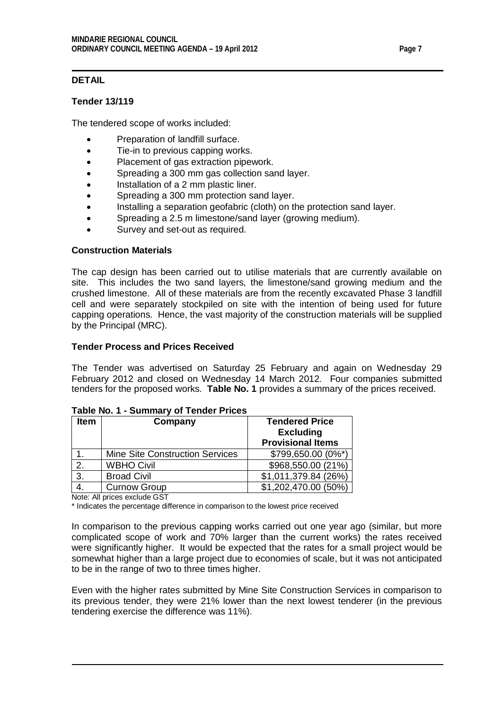# **DETAIL**

## **Tender 13/119**

The tendered scope of works included:

- Preparation of landfill surface.
- Tie-in to previous capping works.
- Placement of gas extraction pipework.
- Spreading a 300 mm gas collection sand layer.
- Installation of a 2 mm plastic liner.
- Spreading a 300 mm protection sand layer.
- Installing a separation geofabric (cloth) on the protection sand layer.
- Spreading a 2.5 m limestone/sand layer (growing medium).
- Survey and set-out as required.

## **Construction Materials**

The cap design has been carried out to utilise materials that are currently available on site. This includes the two sand layers, the limestone/sand growing medium and the crushed limestone. All of these materials are from the recently excavated Phase 3 landfill cell and were separately stockpiled on site with the intention of being used for future capping operations. Hence, the vast majority of the construction materials will be supplied by the Principal (MRC).

## **Tender Process and Prices Received**

The Tender was advertised on Saturday 25 February and again on Wednesday 29 February 2012 and closed on Wednesday 14 March 2012. Four companies submitted tenders for the proposed works. **Table No. 1** provides a summary of the prices received.

| <b>Item</b> | Company                                | <b>Tendered Price</b><br><b>Excluding</b> |
|-------------|----------------------------------------|-------------------------------------------|
|             |                                        | <b>Provisional Items</b>                  |
|             | <b>Mine Site Construction Services</b> | \$799,650.00 (0%*)                        |
| 2.          | <b>WBHO Civil</b>                      | \$968,550.00 (21%)                        |
| 3.          | <b>Broad Civil</b>                     | \$1,011,379.84 (26%)                      |
|             | <b>Curnow Group</b>                    | \$1,202,470.00 (50%)                      |

## **Table No. 1 - Summary of Tender Prices**

Note: All prices exclude GST

\* Indicates the percentage difference in comparison to the lowest price received

In comparison to the previous capping works carried out one year ago (similar, but more complicated scope of work and 70% larger than the current works) the rates received were significantly higher. It would be expected that the rates for a small project would be somewhat higher than a large project due to economies of scale, but it was not anticipated to be in the range of two to three times higher.

Even with the higher rates submitted by Mine Site Construction Services in comparison to its previous tender, they were 21% lower than the next lowest tenderer (in the previous tendering exercise the difference was 11%).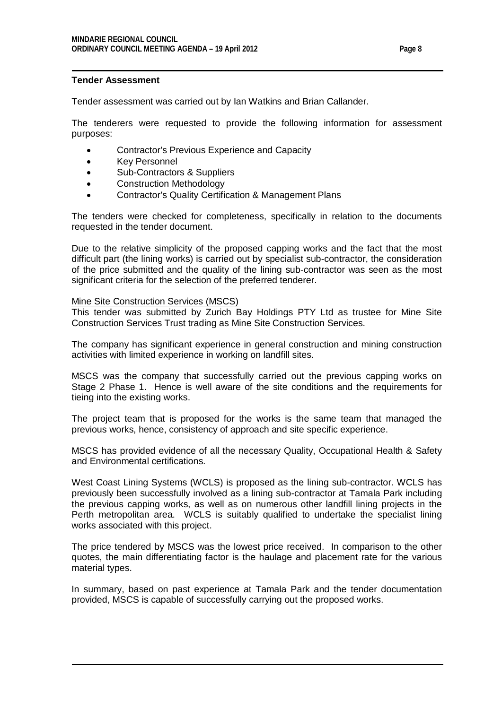#### **Tender Assessment**

Tender assessment was carried out by Ian Watkins and Brian Callander.

The tenderers were requested to provide the following information for assessment purposes:

- Contractor's Previous Experience and Capacity
- Key Personnel
- Sub-Contractors & Suppliers
- Construction Methodology
- Contractor's Quality Certification & Management Plans

The tenders were checked for completeness, specifically in relation to the documents requested in the tender document.

Due to the relative simplicity of the proposed capping works and the fact that the most difficult part (the lining works) is carried out by specialist sub-contractor, the consideration of the price submitted and the quality of the lining sub-contractor was seen as the most significant criteria for the selection of the preferred tenderer.

#### Mine Site Construction Services (MSCS)

This tender was submitted by Zurich Bay Holdings PTY Ltd as trustee for Mine Site Construction Services Trust trading as Mine Site Construction Services.

The company has significant experience in general construction and mining construction activities with limited experience in working on landfill sites.

MSCS was the company that successfully carried out the previous capping works on Stage 2 Phase 1. Hence is well aware of the site conditions and the requirements for tieing into the existing works.

The project team that is proposed for the works is the same team that managed the previous works, hence, consistency of approach and site specific experience.

MSCS has provided evidence of all the necessary Quality, Occupational Health & Safety and Environmental certifications.

West Coast Lining Systems (WCLS) is proposed as the lining sub-contractor. WCLS has previously been successfully involved as a lining sub-contractor at Tamala Park including the previous capping works, as well as on numerous other landfill lining projects in the Perth metropolitan area. WCLS is suitably qualified to undertake the specialist lining works associated with this project.

The price tendered by MSCS was the lowest price received. In comparison to the other quotes, the main differentiating factor is the haulage and placement rate for the various material types.

In summary, based on past experience at Tamala Park and the tender documentation provided, MSCS is capable of successfully carrying out the proposed works.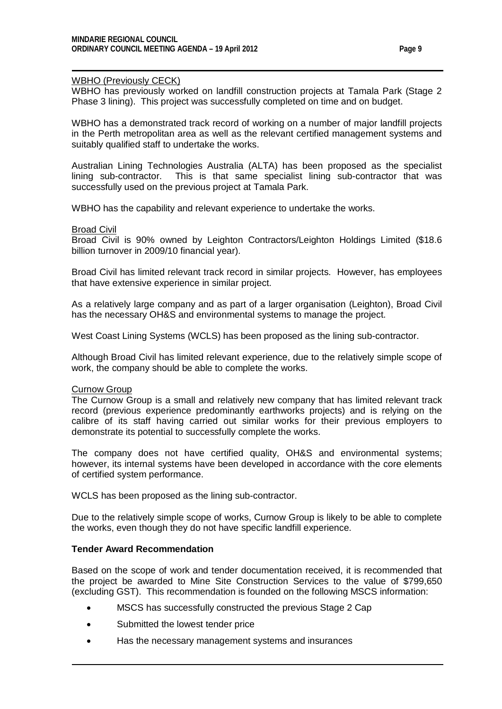#### WBHO (Previously CECK)

WBHO has previously worked on landfill construction projects at Tamala Park (Stage 2 Phase 3 lining). This project was successfully completed on time and on budget.

WBHO has a demonstrated track record of working on a number of major landfill projects in the Perth metropolitan area as well as the relevant certified management systems and suitably qualified staff to undertake the works.

Australian Lining Technologies Australia (ALTA) has been proposed as the specialist lining sub-contractor. This is that same specialist lining sub-contractor that was This is that same specialist lining sub-contractor that was successfully used on the previous project at Tamala Park.

WBHO has the capability and relevant experience to undertake the works.

#### Broad Civil

Broad Civil is 90% owned by Leighton Contractors/Leighton Holdings Limited (\$18.6 billion turnover in 2009/10 financial year).

Broad Civil has limited relevant track record in similar projects. However, has employees that have extensive experience in similar project.

As a relatively large company and as part of a larger organisation (Leighton), Broad Civil has the necessary OH&S and environmental systems to manage the project.

West Coast Lining Systems (WCLS) has been proposed as the lining sub-contractor.

Although Broad Civil has limited relevant experience, due to the relatively simple scope of work, the company should be able to complete the works.

#### Curnow Group

The Curnow Group is a small and relatively new company that has limited relevant track record (previous experience predominantly earthworks projects) and is relying on the calibre of its staff having carried out similar works for their previous employers to demonstrate its potential to successfully complete the works.

The company does not have certified quality, OH&S and environmental systems; however, its internal systems have been developed in accordance with the core elements of certified system performance.

WCLS has been proposed as the lining sub-contractor.

Due to the relatively simple scope of works, Curnow Group is likely to be able to complete the works, even though they do not have specific landfill experience.

## **Tender Award Recommendation**

Based on the scope of work and tender documentation received, it is recommended that the project be awarded to Mine Site Construction Services to the value of \$799,650 (excluding GST). This recommendation is founded on the following MSCS information:

- MSCS has successfully constructed the previous Stage 2 Cap
- Submitted the lowest tender price
- Has the necessary management systems and insurances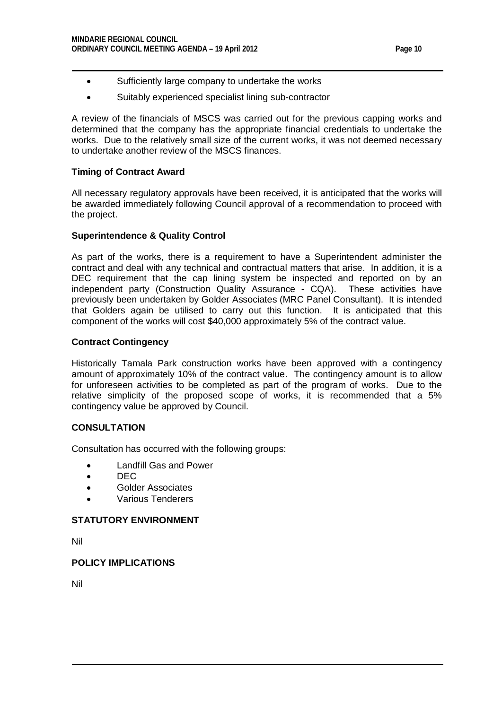- Sufficiently large company to undertake the works
- Suitably experienced specialist lining sub-contractor

A review of the financials of MSCS was carried out for the previous capping works and determined that the company has the appropriate financial credentials to undertake the works. Due to the relatively small size of the current works, it was not deemed necessary to undertake another review of the MSCS finances.

## **Timing of Contract Award**

All necessary regulatory approvals have been received, it is anticipated that the works will be awarded immediately following Council approval of a recommendation to proceed with the project.

## **Superintendence & Quality Control**

As part of the works, there is a requirement to have a Superintendent administer the contract and deal with any technical and contractual matters that arise. In addition, it is a DEC requirement that the cap lining system be inspected and reported on by an independent party (Construction Quality Assurance - CQA). These activities have previously been undertaken by Golder Associates (MRC Panel Consultant). It is intended that Golders again be utilised to carry out this function. It is anticipated that this component of the works will cost \$40,000 approximately 5% of the contract value.

## **Contract Contingency**

Historically Tamala Park construction works have been approved with a contingency amount of approximately 10% of the contract value. The contingency amount is to allow for unforeseen activities to be completed as part of the program of works. Due to the relative simplicity of the proposed scope of works, it is recommended that a 5% contingency value be approved by Council.

## **CONSULTATION**

Consultation has occurred with the following groups:

- Landfill Gas and Power
- DEC
- Golder Associates
- Various Tenderers

## **STATUTORY ENVIRONMENT**

Nil

## **POLICY IMPLICATIONS**

Nil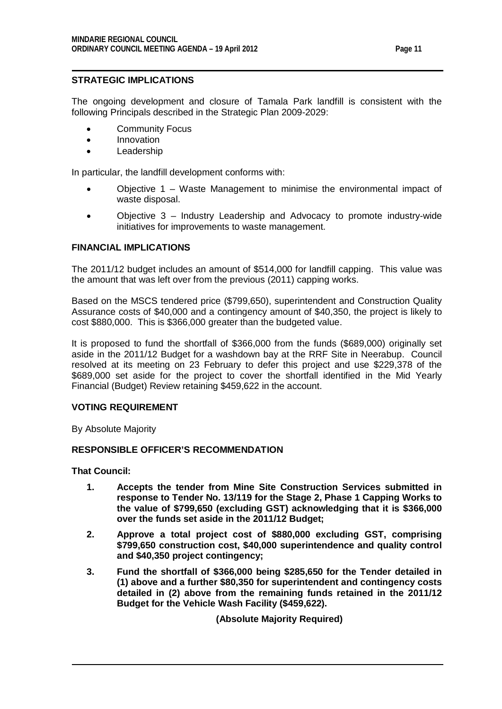## **STRATEGIC IMPLICATIONS**

The ongoing development and closure of Tamala Park landfill is consistent with the following Principals described in the Strategic Plan 2009-2029:

- Community Focus
- Innovation
- Leadership

In particular, the landfill development conforms with:

- Objective 1 Waste Management to minimise the environmental impact of waste disposal.
- Objective 3 Industry Leadership and Advocacy to promote industry-wide initiatives for improvements to waste management.

## **FINANCIAL IMPLICATIONS**

The 2011/12 budget includes an amount of \$514,000 for landfill capping. This value was the amount that was left over from the previous (2011) capping works.

Based on the MSCS tendered price (\$799,650), superintendent and Construction Quality Assurance costs of \$40,000 and a contingency amount of \$40,350, the project is likely to cost \$880,000. This is \$366,000 greater than the budgeted value.

It is proposed to fund the shortfall of \$366,000 from the funds (\$689,000) originally set aside in the 2011/12 Budget for a washdown bay at the RRF Site in Neerabup. Council resolved at its meeting on 23 February to defer this project and use \$229,378 of the \$689,000 set aside for the project to cover the shortfall identified in the Mid Yearly Financial (Budget) Review retaining \$459,622 in the account.

#### **VOTING REQUIREMENT**

By Absolute Majority

## **RESPONSIBLE OFFICER'S RECOMMENDATION**

**That Council:**

- **1. Accepts the tender from Mine Site Construction Services submitted in response to Tender No. 13/119 for the Stage 2, Phase 1 Capping Works to the value of \$799,650 (excluding GST) acknowledging that it is \$366,000 over the funds set aside in the 2011/12 Budget;**
- **2. Approve a total project cost of \$880,000 excluding GST, comprising \$799,650 construction cost, \$40,000 superintendence and quality control and \$40,350 project contingency;**
- **3. Fund the shortfall of \$366,000 being \$285,650 for the Tender detailed in (1) above and a further \$80,350 for superintendent and contingency costs detailed in (2) above from the remaining funds retained in the 2011/12 Budget for the Vehicle Wash Facility (\$459,622).**

**(Absolute Majority Required)**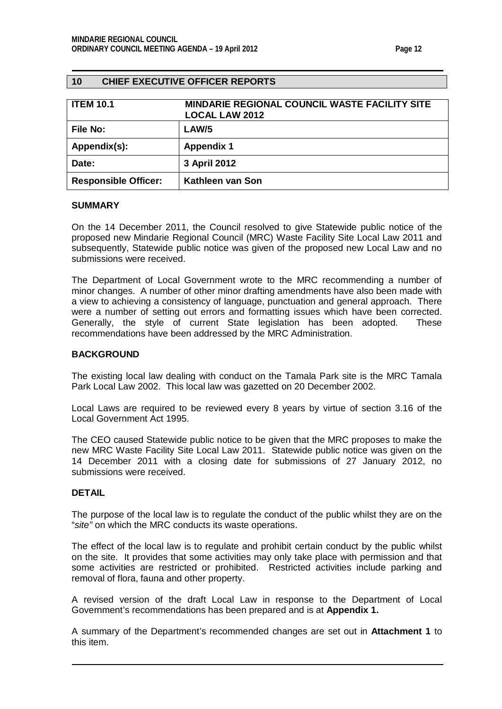## <span id="page-11-0"></span>**10 CHIEF EXECUTIVE OFFICER REPORTS**

<span id="page-11-1"></span>

| <b>ITEM 10.1</b>            | <b>MINDARIE REGIONAL COUNCIL WASTE FACILITY SITE</b><br><b>LOCAL LAW 2012</b> |
|-----------------------------|-------------------------------------------------------------------------------|
| File No:                    | LAW/5                                                                         |
| Appendix(s):                | <b>Appendix 1</b>                                                             |
| Date:                       | 3 April 2012                                                                  |
| <b>Responsible Officer:</b> | Kathleen van Son                                                              |

#### **SUMMARY**

On the 14 December 2011, the Council resolved to give Statewide public notice of the proposed new Mindarie Regional Council (MRC) Waste Facility Site Local Law 2011 and subsequently, Statewide public notice was given of the proposed new Local Law and no submissions were received.

The Department of Local Government wrote to the MRC recommending a number of minor changes. A number of other minor drafting amendments have also been made with a view to achieving a consistency of language, punctuation and general approach. There were a number of setting out errors and formatting issues which have been corrected. Generally, the style of current State legislation has been adopted. These recommendations have been addressed by the MRC Administration.

#### **BACKGROUND**

The existing local law dealing with conduct on the Tamala Park site is the MRC Tamala Park Local Law 2002. This local law was gazetted on 20 December 2002.

Local Laws are required to be reviewed every 8 years by virtue of section 3.16 of the Local Government Act 1995.

The CEO caused Statewide public notice to be given that the MRC proposes to make the new MRC Waste Facility Site Local Law 2011. Statewide public notice was given on the 14 December 2011 with a closing date for submissions of 27 January 2012, no submissions were received.

## **DETAIL**

The purpose of the local law is to regulate the conduct of the public whilst they are on the "*site"* on which the MRC conducts its waste operations.

The effect of the local law is to regulate and prohibit certain conduct by the public whilst on the site. It provides that some activities may only take place with permission and that some activities are restricted or prohibited. Restricted activities include parking and removal of flora, fauna and other property.

A revised version of the draft Local Law in response to the Department of Local Government's recommendations has been prepared and is at **Appendix 1.**

A summary of the Department's recommended changes are set out in **Attachment 1** to this item.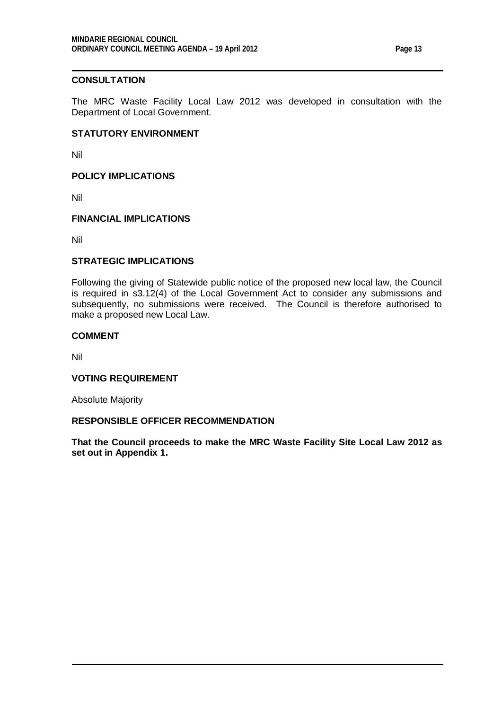## **CONSULTATION**

The MRC Waste Facility Local Law 2012 was developed in consultation with the Department of Local Government.

#### **STATUTORY ENVIRONMENT**

Nil

**POLICY IMPLICATIONS**

Nil

## **FINANCIAL IMPLICATIONS**

Nil

## **STRATEGIC IMPLICATIONS**

Following the giving of Statewide public notice of the proposed new local law, the Council is required in s3.12(4) of the Local Government Act to consider any submissions and subsequently, no submissions were received. The Council is therefore authorised to make a proposed new Local Law.

#### **COMMENT**

Nil

#### **VOTING REQUIREMENT**

Absolute Majority

## **RESPONSIBLE OFFICER RECOMMENDATION**

**That the Council proceeds to make the MRC Waste Facility Site Local Law 2012 as set out in Appendix 1.**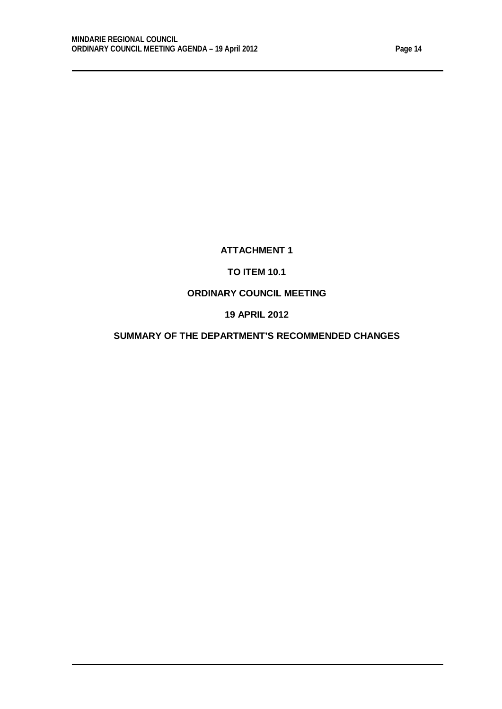# **ATTACHMENT 1**

# **TO ITEM 10.1**

# **ORDINARY COUNCIL MEETING**

# **19 APRIL 2012**

## **SUMMARY OF THE DEPARTMENT'S RECOMMENDED CHANGES**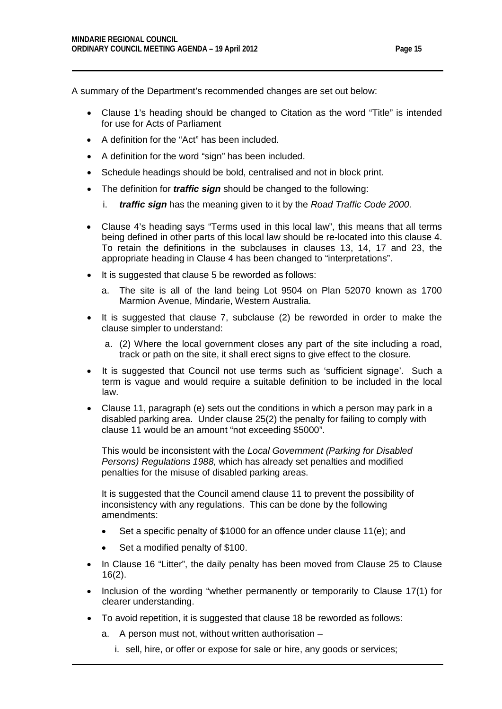A summary of the Department's recommended changes are set out below:

- Clause 1's heading should be changed to Citation as the word "Title" is intended for use for Acts of Parliament
- A definition for the "Act" has been included.
- A definition for the word "sign" has been included.
- Schedule headings should be bold, centralised and not in block print.
- The definition for *traffic sign* should be changed to the following:
	- i. *traffic sign* has the meaning given to it by the *Road Traffic Code 2000.*
- Clause 4's heading says "Terms used in this local law", this means that all terms being defined in other parts of this local law should be re-located into this clause 4. To retain the definitions in the subclauses in clauses 13, 14, 17 and 23, the appropriate heading in Clause 4 has been changed to "interpretations".
- It is suggested that clause 5 be reworded as follows:
	- a. The site is all of the land being Lot 9504 on Plan 52070 known as 1700 Marmion Avenue, Mindarie, Western Australia.
- It is suggested that clause 7, subclause (2) be reworded in order to make the clause simpler to understand:
	- a. (2) Where the local government closes any part of the site including a road, track or path on the site, it shall erect signs to give effect to the closure.
- It is suggested that Council not use terms such as 'sufficient signage'. Such a term is vague and would require a suitable definition to be included in the local law.
- Clause 11, paragraph (e) sets out the conditions in which a person may park in a disabled parking area. Under clause 25(2) the penalty for failing to comply with clause 11 would be an amount "not exceeding \$5000".

This would be inconsistent with the *Local Government (Parking for Disabled Persons) Regulations 1988,* which has already set penalties and modified penalties for the misuse of disabled parking areas.

It is suggested that the Council amend clause 11 to prevent the possibility of inconsistency with any regulations. This can be done by the following amendments:

- Set a specific penalty of \$1000 for an offence under clause 11(e); and
- Set a modified penalty of \$100.
- In Clause 16 "Litter", the daily penalty has been moved from Clause 25 to Clause 16(2).
- Inclusion of the wording "whether permanently or temporarily to Clause 17(1) for clearer understanding.
- To avoid repetition, it is suggested that clause 18 be reworded as follows:
	- a. A person must not, without written authorisation
		- i. sell, hire, or offer or expose for sale or hire, any goods or services;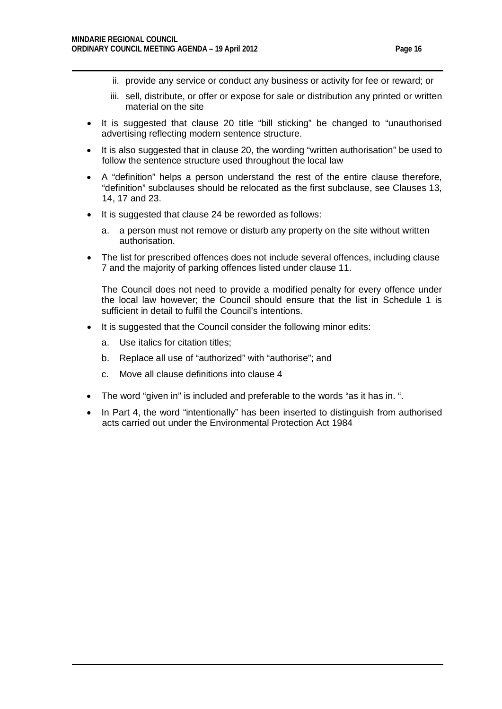- ii. provide any service or conduct any business or activity for fee or reward; or
- iii. sell, distribute, or offer or expose for sale or distribution any printed or written material on the site
- It is suggested that clause 20 title "bill sticking" be changed to "unauthorised advertising reflecting modern sentence structure.
- It is also suggested that in clause 20, the wording "written authorisation" be used to follow the sentence structure used throughout the local law
- A "definition" helps a person understand the rest of the entire clause therefore, "definition" subclauses should be relocated as the first subclause, see Clauses 13, 14, 17 and 23.
- It is suggested that clause 24 be reworded as follows:
	- a. a person must not remove or disturb any property on the site without written authorisation.
- The list for prescribed offences does not include several offences, including clause 7 and the majority of parking offences listed under clause 11.

The Council does not need to provide a modified penalty for every offence under the local law however; the Council should ensure that the list in Schedule 1 is sufficient in detail to fulfil the Council's intentions.

- It is suggested that the Council consider the following minor edits:
	- a. Use italics for citation titles;
	- b. Replace all use of "authorized" with "authorise"; and
	- c. Move all clause definitions into clause 4
- The word "given in" is included and preferable to the words "as it has in. ".
- In Part 4, the word "intentionally" has been inserted to distinguish from authorised acts carried out under the Environmental Protection Act 1984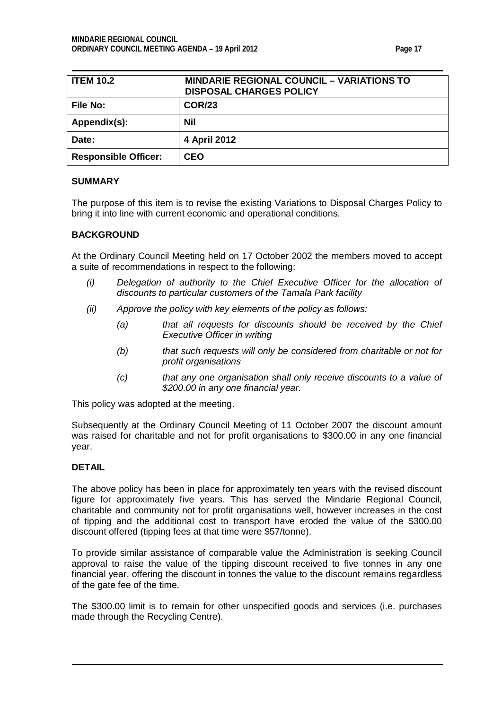| <b>ITEM 10.2</b>            | <b>MINDARIE REGIONAL COUNCIL – VARIATIONS TO</b><br><b>DISPOSAL CHARGES POLICY</b> |
|-----------------------------|------------------------------------------------------------------------------------|
| File No:                    | <b>COR/23</b>                                                                      |
| Appendix(s):                | <b>Nil</b>                                                                         |
| Date:                       | 4 April 2012                                                                       |
| <b>Responsible Officer:</b> | <b>CEO</b>                                                                         |

#### **SUMMARY**

The purpose of this item is to revise the existing Variations to Disposal Charges Policy to bring it into line with current economic and operational conditions.

#### **BACKGROUND**

At the Ordinary Council Meeting held on 17 October 2002 the members moved to accept a suite of recommendations in respect to the following:

- *(i) Delegation of authority to the Chief Executive Officer for the allocation of discounts to particular customers of the Tamala Park facility*
- *(ii) Approve the policy with key elements of the policy as follows:*
	- *(a) that all requests for discounts should be received by the Chief Executive Officer in writing*
	- *(b) that such requests will only be considered from charitable or not for profit organisations*
	- *(c) that any one organisation shall only receive discounts to a value of \$200.00 in any one financial year.*

This policy was adopted at the meeting.

Subsequently at the Ordinary Council Meeting of 11 October 2007 the discount amount was raised for charitable and not for profit organisations to \$300.00 in any one financial year.

#### **DETAIL**

The above policy has been in place for approximately ten years with the revised discount figure for approximately five years. This has served the Mindarie Regional Council, charitable and community not for profit organisations well, however increases in the cost of tipping and the additional cost to transport have eroded the value of the \$300.00 discount offered (tipping fees at that time were \$57/tonne).

To provide similar assistance of comparable value the Administration is seeking Council approval to raise the value of the tipping discount received to five tonnes in any one financial year, offering the discount in tonnes the value to the discount remains regardless of the gate fee of the time.

The \$300.00 limit is to remain for other unspecified goods and services (i.e. purchases made through the Recycling Centre).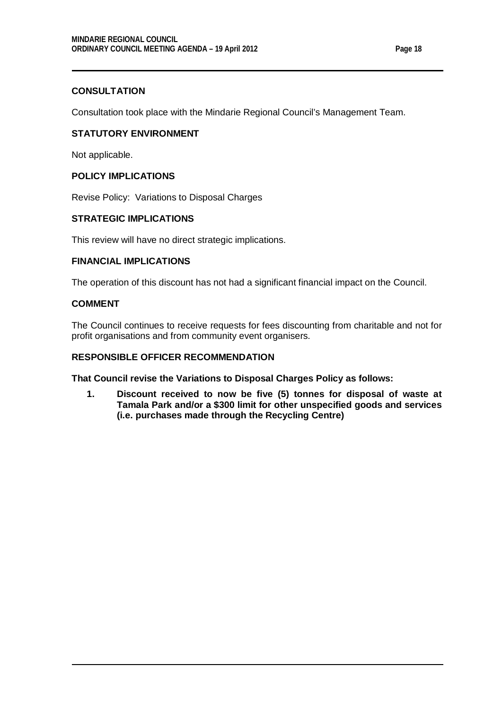## **CONSULTATION**

Consultation took place with the Mindarie Regional Council's Management Team.

## **STATUTORY ENVIRONMENT**

Not applicable.

## **POLICY IMPLICATIONS**

Revise Policy: Variations to Disposal Charges

## **STRATEGIC IMPLICATIONS**

This review will have no direct strategic implications.

## **FINANCIAL IMPLICATIONS**

The operation of this discount has not had a significant financial impact on the Council.

## **COMMENT**

The Council continues to receive requests for fees discounting from charitable and not for profit organisations and from community event organisers.

## **RESPONSIBLE OFFICER RECOMMENDATION**

**That Council revise the Variations to Disposal Charges Policy as follows:**

**1. Discount received to now be five (5) tonnes for disposal of waste at Tamala Park and/or a \$300 limit for other unspecified goods and services (i.e. purchases made through the Recycling Centre)**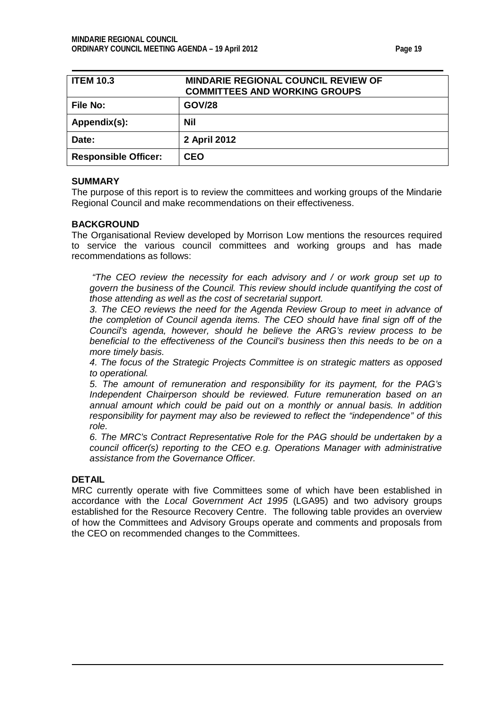<span id="page-18-0"></span>

| <b>ITEM 10.3</b>            | <b>MINDARIE REGIONAL COUNCIL REVIEW OF</b><br><b>COMMITTEES AND WORKING GROUPS</b> |
|-----------------------------|------------------------------------------------------------------------------------|
| File No:                    | <b>GOV/28</b>                                                                      |
| Appendix(s):                | <b>Nil</b>                                                                         |
| Date:                       | 2 April 2012                                                                       |
| <b>Responsible Officer:</b> | CEO                                                                                |

#### **SUMMARY**

The purpose of this report is to review the committees and working groups of the Mindarie Regional Council and make recommendations on their effectiveness.

## **BACKGROUND**

The Organisational Review developed by Morrison Low mentions the resources required to service the various council committees and working groups and has made recommendations as follows:

*"The CEO review the necessity for each advisory and / or work group set up to govern the business of the Council. This review should include quantifying the cost of those attending as well as the cost of secretarial support.*

*3. The CEO reviews the need for the Agenda Review Group to meet in advance of the completion of Council agenda items. The CEO should have final sign off of the Council's agenda, however, should he believe the ARG's review process to be beneficial to the effectiveness of the Council's business then this needs to be on a more timely basis.*

*4. The focus of the Strategic Projects Committee is on strategic matters as opposed to operational.*

*5. The amount of remuneration and responsibility for its payment, for the PAG's Independent Chairperson should be reviewed. Future remuneration based on an annual amount which could be paid out on a monthly or annual basis. In addition responsibility for payment may also be reviewed to reflect the "independence" of this role.* 

*6. The MRC's Contract Representative Role for the PAG should be undertaken by a council officer(s) reporting to the CEO e.g. Operations Manager with administrative assistance from the Governance Officer.* 

#### **DETAIL**

MRC currently operate with five Committees some of which have been established in accordance with the *Local Government Act 1995* (LGA95) and two advisory groups established for the Resource Recovery Centre. The following table provides an overview of how the Committees and Advisory Groups operate and comments and proposals from the CEO on recommended changes to the Committees.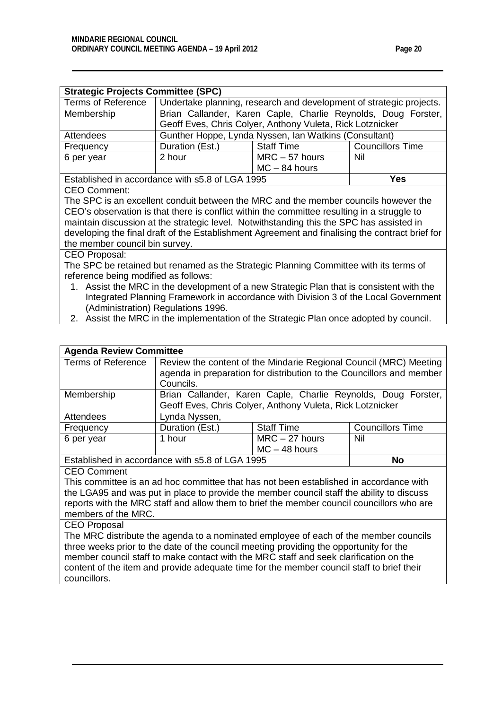| <b>Strategic Projects Committee (SPC)</b>                                                   |                                                                     |                                                               |                         |  |  |  |
|---------------------------------------------------------------------------------------------|---------------------------------------------------------------------|---------------------------------------------------------------|-------------------------|--|--|--|
| <b>Terms of Reference</b>                                                                   | Undertake planning, research and development of strategic projects. |                                                               |                         |  |  |  |
| Membership                                                                                  |                                                                     | Brian Callander, Karen Caple, Charlie Reynolds, Doug Forster, |                         |  |  |  |
|                                                                                             |                                                                     | Geoff Eves, Chris Colyer, Anthony Vuleta, Rick Lotznicker     |                         |  |  |  |
| Attendees                                                                                   |                                                                     | Gunther Hoppe, Lynda Nyssen, Ian Watkins (Consultant)         |                         |  |  |  |
| Frequency                                                                                   | Duration (Est.)                                                     | <b>Staff Time</b>                                             | <b>Councillors Time</b> |  |  |  |
| 6 per year                                                                                  | 2 hour                                                              | $MRC - 57$ hours                                              | Nil                     |  |  |  |
|                                                                                             | $MC - 84$ hours                                                     |                                                               |                         |  |  |  |
| Established in accordance with s5.8 of LGA 1995<br>Yes                                      |                                                                     |                                                               |                         |  |  |  |
| <b>CEO Comment:</b>                                                                         |                                                                     |                                                               |                         |  |  |  |
| The SPC is an excellent conduit between the MRC and the member councils however the         |                                                                     |                                                               |                         |  |  |  |
| CEO's observation is that there is conflict within the committee resulting in a struggle to |                                                                     |                                                               |                         |  |  |  |
| maintain discussion at the strategic level. Notwithstanding this the SPC has assisted in    |                                                                     |                                                               |                         |  |  |  |

developing the final draft of the Establishment Agreement and finalising the contract brief for the member council bin survey.

## CEO Proposal:

councillors.

The SPC be retained but renamed as the Strategic Planning Committee with its terms of reference being modified as follows:

- 1. Assist the MRC in the development of a new Strategic Plan that is consistent with the Integrated Planning Framework in accordance with Division 3 of the Local Government (Administration) Regulations 1996.
- 2. Assist the MRC in the implementation of the Strategic Plan once adopted by council.

| <b>Agenda Review Committee</b>                        |                                                                                           |                                                                      |                         |  |
|-------------------------------------------------------|-------------------------------------------------------------------------------------------|----------------------------------------------------------------------|-------------------------|--|
| Terms of Reference                                    | Review the content of the Mindarie Regional Council (MRC) Meeting                         |                                                                      |                         |  |
|                                                       |                                                                                           | agenda in preparation for distribution to the Councillors and member |                         |  |
|                                                       | Councils.                                                                                 |                                                                      |                         |  |
| Membership                                            |                                                                                           | Brian Callander, Karen Caple, Charlie Reynolds, Doug Forster,        |                         |  |
|                                                       |                                                                                           | Geoff Eves, Chris Colyer, Anthony Vuleta, Rick Lotznicker            |                         |  |
| <b>Attendees</b>                                      | Lynda Nyssen,                                                                             |                                                                      |                         |  |
| Frequency                                             | Duration (Est.)                                                                           | <b>Staff Time</b>                                                    | <b>Councillors Time</b> |  |
| 6 per year                                            | 1 hour                                                                                    | $MRC - 27$ hours                                                     | Nil                     |  |
|                                                       |                                                                                           | $MC - 48$ hours                                                      |                         |  |
| Established in accordance with s5.8 of LGA 1995<br>No |                                                                                           |                                                                      |                         |  |
|                                                       |                                                                                           |                                                                      |                         |  |
| <b>CEO Comment</b>                                    |                                                                                           |                                                                      |                         |  |
|                                                       | This committee is an ad hoc committee that has not been established in accordance with    |                                                                      |                         |  |
|                                                       | the LGA95 and was put in place to provide the member council staff the ability to discuss |                                                                      |                         |  |
|                                                       | reports with the MRC staff and allow them to brief the member council councillors who are |                                                                      |                         |  |
| members of the MRC.                                   |                                                                                           |                                                                      |                         |  |
| <b>CEO Proposal</b>                                   |                                                                                           |                                                                      |                         |  |
|                                                       | The MRC distribute the agenda to a nominated employee of each of the member councils      |                                                                      |                         |  |
|                                                       | three weeks prior to the date of the council meeting providing the opportunity for the    |                                                                      |                         |  |

content of the item and provide adequate time for the member council staff to brief their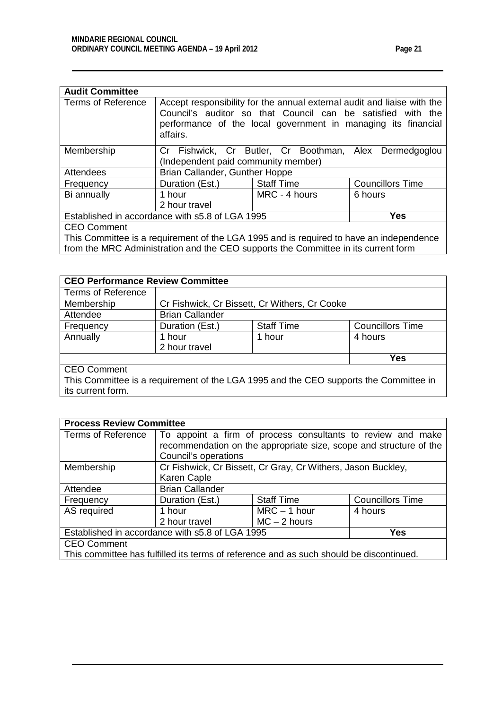| <b>Audit Committee</b>                                 |                                                                                                                                                                                                                     |                                                        |         |  |
|--------------------------------------------------------|---------------------------------------------------------------------------------------------------------------------------------------------------------------------------------------------------------------------|--------------------------------------------------------|---------|--|
| <b>Terms of Reference</b>                              | Accept responsibility for the annual external audit and liaise with the<br>Council's auditor so that Council can be satisfied with the<br>performance of the local government in managing its financial<br>affairs. |                                                        |         |  |
| Membership                                             |                                                                                                                                                                                                                     | Cr Fishwick, Cr Butler, Cr Boothman, Alex Dermedgoglou |         |  |
|                                                        | (Independent paid community member)                                                                                                                                                                                 |                                                        |         |  |
| Attendees                                              | Brian Callander, Gunther Hoppe                                                                                                                                                                                      |                                                        |         |  |
| Frequency                                              | <b>Staff Time</b><br><b>Councillors Time</b><br>Duration (Est.)                                                                                                                                                     |                                                        |         |  |
| Bi annually                                            | 1 hour                                                                                                                                                                                                              | MRC - 4 hours                                          | 6 hours |  |
|                                                        | 2 hour travel                                                                                                                                                                                                       |                                                        |         |  |
| Established in accordance with s5.8 of LGA 1995<br>Yes |                                                                                                                                                                                                                     |                                                        |         |  |
| CEO Comment                                            |                                                                                                                                                                                                                     |                                                        |         |  |

CEO Comment

This Committee is a requirement of the LGA 1995 and is required to have an independence from the MRC Administration and the CEO supports the Committee in its current form

| <b>CEO Performance Review Committee</b>                                               |                        |                                               |         |  |  |
|---------------------------------------------------------------------------------------|------------------------|-----------------------------------------------|---------|--|--|
| <b>Terms of Reference</b>                                                             |                        |                                               |         |  |  |
| Membership                                                                            |                        | Cr Fishwick, Cr Bissett, Cr Withers, Cr Cooke |         |  |  |
| Attendee                                                                              | <b>Brian Callander</b> |                                               |         |  |  |
| Frequency                                                                             | Duration (Est.)        | <b>Councillors Time</b><br><b>Staff Time</b>  |         |  |  |
| Annually                                                                              | 1 hour                 | 1 hour                                        | 4 hours |  |  |
|                                                                                       | 2 hour travel          |                                               |         |  |  |
| <b>Yes</b>                                                                            |                        |                                               |         |  |  |
| <b>CEO Comment</b>                                                                    |                        |                                               |         |  |  |
| This Committee is a requirement of the LGA 1995 and the CEO supports the Committee in |                        |                                               |         |  |  |
| its current form.                                                                     |                        |                                               |         |  |  |

| <b>Process Review Committee</b>                                                         |                                                             |                                                                    |                         |  |  |
|-----------------------------------------------------------------------------------------|-------------------------------------------------------------|--------------------------------------------------------------------|-------------------------|--|--|
| <b>Terms of Reference</b>                                                               | To appoint a firm of process consultants to review and make |                                                                    |                         |  |  |
|                                                                                         |                                                             | recommendation on the appropriate size, scope and structure of the |                         |  |  |
|                                                                                         | Council's operations                                        |                                                                    |                         |  |  |
| Membership                                                                              |                                                             | Cr Fishwick, Cr Bissett, Cr Gray, Cr Withers, Jason Buckley,       |                         |  |  |
|                                                                                         | Karen Caple                                                 |                                                                    |                         |  |  |
| Attendee                                                                                | <b>Brian Callander</b>                                      |                                                                    |                         |  |  |
| Frequency                                                                               | Duration (Est.)                                             | <b>Staff Time</b>                                                  | <b>Councillors Time</b> |  |  |
| AS required                                                                             | $MRC - 1$ hour<br>4 hours<br>1 hour                         |                                                                    |                         |  |  |
|                                                                                         | $MC - 2$ hours<br>2 hour travel                             |                                                                    |                         |  |  |
| Established in accordance with s5.8 of LGA 1995<br>Yes                                  |                                                             |                                                                    |                         |  |  |
| <b>CEO Comment</b>                                                                      |                                                             |                                                                    |                         |  |  |
| This committee has fulfilled its terms of reference and as such should be discontinued. |                                                             |                                                                    |                         |  |  |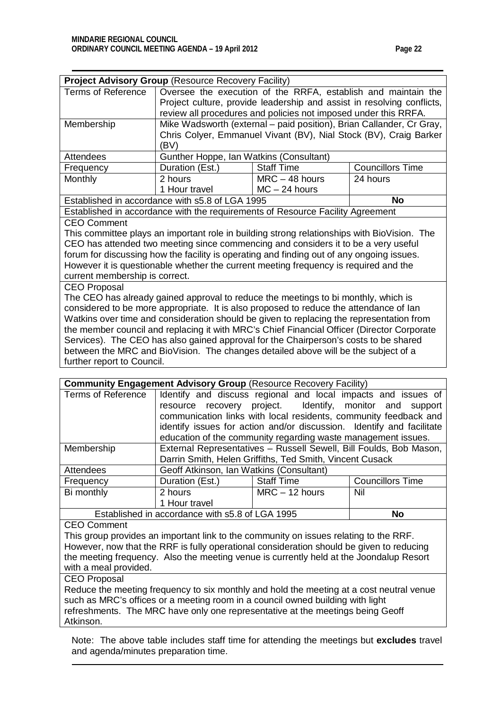| <b>Terms of Reference</b><br>Oversee the execution of the RRFA, establish and maintain the<br>Project culture, provide leadership and assist in resolving conflicts,<br>review all procedures and policies not imposed under this RRFA.<br>Mike Wadsworth (external – paid position), Brian Callander, Cr Gray,<br>Membership<br>Chris Colyer, Emmanuel Vivant (BV), Nial Stock (BV), Craig Barker<br>(BV)<br><b>Attendees</b><br>Gunther Hoppe, Ian Watkins (Consultant)<br><b>Councillors Time</b><br>Duration (Est.)<br><b>Staff Time</b><br>Frequency<br>$MRC - 48$ hours<br>24 hours<br>Monthly<br>2 hours<br>1 Hour travel<br>$MC - 24$ hours<br>Established in accordance with s5.8 of LGA 1995<br><b>No</b><br>Established in accordance with the requirements of Resource Facility Agreement<br><b>CEO Comment</b><br>This committee plays an important role in building strong relationships with BioVision. The<br>CEO has attended two meeting since commencing and considers it to be a very useful<br>forum for discussing how the facility is operating and finding out of any ongoing issues.<br>However it is questionable whether the current meeting frequency is required and the<br>current membership is correct.<br><b>CEO Proposal</b><br>The CEO has already gained approval to reduce the meetings to bi monthly, which is<br>considered to be more appropriate. It is also proposed to reduce the attendance of lan<br>Watkins over time and consideration should be given to replacing the representation from<br>the member council and replacing it with MRC's Chief Financial Officer (Director Corporate<br>Services). The CEO has also gained approval for the Chairperson's costs to be shared<br>between the MRC and BioVision. The changes detailed above will be the subject of a<br>further report to Council. |  | <b>Project Advisory Group (Resource Recovery Facility)</b> |  |  |  |  |
|------------------------------------------------------------------------------------------------------------------------------------------------------------------------------------------------------------------------------------------------------------------------------------------------------------------------------------------------------------------------------------------------------------------------------------------------------------------------------------------------------------------------------------------------------------------------------------------------------------------------------------------------------------------------------------------------------------------------------------------------------------------------------------------------------------------------------------------------------------------------------------------------------------------------------------------------------------------------------------------------------------------------------------------------------------------------------------------------------------------------------------------------------------------------------------------------------------------------------------------------------------------------------------------------------------------------------------------------------------------------------------------------------------------------------------------------------------------------------------------------------------------------------------------------------------------------------------------------------------------------------------------------------------------------------------------------------------------------------------------------------------------------------------------------------------------------------------------------------|--|------------------------------------------------------------|--|--|--|--|
|                                                                                                                                                                                                                                                                                                                                                                                                                                                                                                                                                                                                                                                                                                                                                                                                                                                                                                                                                                                                                                                                                                                                                                                                                                                                                                                                                                                                                                                                                                                                                                                                                                                                                                                                                                                                                                                      |  |                                                            |  |  |  |  |
|                                                                                                                                                                                                                                                                                                                                                                                                                                                                                                                                                                                                                                                                                                                                                                                                                                                                                                                                                                                                                                                                                                                                                                                                                                                                                                                                                                                                                                                                                                                                                                                                                                                                                                                                                                                                                                                      |  |                                                            |  |  |  |  |
|                                                                                                                                                                                                                                                                                                                                                                                                                                                                                                                                                                                                                                                                                                                                                                                                                                                                                                                                                                                                                                                                                                                                                                                                                                                                                                                                                                                                                                                                                                                                                                                                                                                                                                                                                                                                                                                      |  |                                                            |  |  |  |  |
|                                                                                                                                                                                                                                                                                                                                                                                                                                                                                                                                                                                                                                                                                                                                                                                                                                                                                                                                                                                                                                                                                                                                                                                                                                                                                                                                                                                                                                                                                                                                                                                                                                                                                                                                                                                                                                                      |  |                                                            |  |  |  |  |
|                                                                                                                                                                                                                                                                                                                                                                                                                                                                                                                                                                                                                                                                                                                                                                                                                                                                                                                                                                                                                                                                                                                                                                                                                                                                                                                                                                                                                                                                                                                                                                                                                                                                                                                                                                                                                                                      |  |                                                            |  |  |  |  |
|                                                                                                                                                                                                                                                                                                                                                                                                                                                                                                                                                                                                                                                                                                                                                                                                                                                                                                                                                                                                                                                                                                                                                                                                                                                                                                                                                                                                                                                                                                                                                                                                                                                                                                                                                                                                                                                      |  |                                                            |  |  |  |  |
|                                                                                                                                                                                                                                                                                                                                                                                                                                                                                                                                                                                                                                                                                                                                                                                                                                                                                                                                                                                                                                                                                                                                                                                                                                                                                                                                                                                                                                                                                                                                                                                                                                                                                                                                                                                                                                                      |  |                                                            |  |  |  |  |
|                                                                                                                                                                                                                                                                                                                                                                                                                                                                                                                                                                                                                                                                                                                                                                                                                                                                                                                                                                                                                                                                                                                                                                                                                                                                                                                                                                                                                                                                                                                                                                                                                                                                                                                                                                                                                                                      |  |                                                            |  |  |  |  |
|                                                                                                                                                                                                                                                                                                                                                                                                                                                                                                                                                                                                                                                                                                                                                                                                                                                                                                                                                                                                                                                                                                                                                                                                                                                                                                                                                                                                                                                                                                                                                                                                                                                                                                                                                                                                                                                      |  |                                                            |  |  |  |  |
|                                                                                                                                                                                                                                                                                                                                                                                                                                                                                                                                                                                                                                                                                                                                                                                                                                                                                                                                                                                                                                                                                                                                                                                                                                                                                                                                                                                                                                                                                                                                                                                                                                                                                                                                                                                                                                                      |  |                                                            |  |  |  |  |
|                                                                                                                                                                                                                                                                                                                                                                                                                                                                                                                                                                                                                                                                                                                                                                                                                                                                                                                                                                                                                                                                                                                                                                                                                                                                                                                                                                                                                                                                                                                                                                                                                                                                                                                                                                                                                                                      |  |                                                            |  |  |  |  |
|                                                                                                                                                                                                                                                                                                                                                                                                                                                                                                                                                                                                                                                                                                                                                                                                                                                                                                                                                                                                                                                                                                                                                                                                                                                                                                                                                                                                                                                                                                                                                                                                                                                                                                                                                                                                                                                      |  |                                                            |  |  |  |  |
|                                                                                                                                                                                                                                                                                                                                                                                                                                                                                                                                                                                                                                                                                                                                                                                                                                                                                                                                                                                                                                                                                                                                                                                                                                                                                                                                                                                                                                                                                                                                                                                                                                                                                                                                                                                                                                                      |  |                                                            |  |  |  |  |
|                                                                                                                                                                                                                                                                                                                                                                                                                                                                                                                                                                                                                                                                                                                                                                                                                                                                                                                                                                                                                                                                                                                                                                                                                                                                                                                                                                                                                                                                                                                                                                                                                                                                                                                                                                                                                                                      |  |                                                            |  |  |  |  |
|                                                                                                                                                                                                                                                                                                                                                                                                                                                                                                                                                                                                                                                                                                                                                                                                                                                                                                                                                                                                                                                                                                                                                                                                                                                                                                                                                                                                                                                                                                                                                                                                                                                                                                                                                                                                                                                      |  |                                                            |  |  |  |  |
|                                                                                                                                                                                                                                                                                                                                                                                                                                                                                                                                                                                                                                                                                                                                                                                                                                                                                                                                                                                                                                                                                                                                                                                                                                                                                                                                                                                                                                                                                                                                                                                                                                                                                                                                                                                                                                                      |  |                                                            |  |  |  |  |
|                                                                                                                                                                                                                                                                                                                                                                                                                                                                                                                                                                                                                                                                                                                                                                                                                                                                                                                                                                                                                                                                                                                                                                                                                                                                                                                                                                                                                                                                                                                                                                                                                                                                                                                                                                                                                                                      |  |                                                            |  |  |  |  |
|                                                                                                                                                                                                                                                                                                                                                                                                                                                                                                                                                                                                                                                                                                                                                                                                                                                                                                                                                                                                                                                                                                                                                                                                                                                                                                                                                                                                                                                                                                                                                                                                                                                                                                                                                                                                                                                      |  |                                                            |  |  |  |  |
|                                                                                                                                                                                                                                                                                                                                                                                                                                                                                                                                                                                                                                                                                                                                                                                                                                                                                                                                                                                                                                                                                                                                                                                                                                                                                                                                                                                                                                                                                                                                                                                                                                                                                                                                                                                                                                                      |  |                                                            |  |  |  |  |
|                                                                                                                                                                                                                                                                                                                                                                                                                                                                                                                                                                                                                                                                                                                                                                                                                                                                                                                                                                                                                                                                                                                                                                                                                                                                                                                                                                                                                                                                                                                                                                                                                                                                                                                                                                                                                                                      |  |                                                            |  |  |  |  |
|                                                                                                                                                                                                                                                                                                                                                                                                                                                                                                                                                                                                                                                                                                                                                                                                                                                                                                                                                                                                                                                                                                                                                                                                                                                                                                                                                                                                                                                                                                                                                                                                                                                                                                                                                                                                                                                      |  |                                                            |  |  |  |  |
|                                                                                                                                                                                                                                                                                                                                                                                                                                                                                                                                                                                                                                                                                                                                                                                                                                                                                                                                                                                                                                                                                                                                                                                                                                                                                                                                                                                                                                                                                                                                                                                                                                                                                                                                                                                                                                                      |  |                                                            |  |  |  |  |
|                                                                                                                                                                                                                                                                                                                                                                                                                                                                                                                                                                                                                                                                                                                                                                                                                                                                                                                                                                                                                                                                                                                                                                                                                                                                                                                                                                                                                                                                                                                                                                                                                                                                                                                                                                                                                                                      |  |                                                            |  |  |  |  |
|                                                                                                                                                                                                                                                                                                                                                                                                                                                                                                                                                                                                                                                                                                                                                                                                                                                                                                                                                                                                                                                                                                                                                                                                                                                                                                                                                                                                                                                                                                                                                                                                                                                                                                                                                                                                                                                      |  |                                                            |  |  |  |  |
|                                                                                                                                                                                                                                                                                                                                                                                                                                                                                                                                                                                                                                                                                                                                                                                                                                                                                                                                                                                                                                                                                                                                                                                                                                                                                                                                                                                                                                                                                                                                                                                                                                                                                                                                                                                                                                                      |  |                                                            |  |  |  |  |
|                                                                                                                                                                                                                                                                                                                                                                                                                                                                                                                                                                                                                                                                                                                                                                                                                                                                                                                                                                                                                                                                                                                                                                                                                                                                                                                                                                                                                                                                                                                                                                                                                                                                                                                                                                                                                                                      |  |                                                            |  |  |  |  |

| <b>Community Engagement Advisory Group (Resource Recovery Facility)</b>                  |                                                                    |                                                                       |                         |
|------------------------------------------------------------------------------------------|--------------------------------------------------------------------|-----------------------------------------------------------------------|-------------------------|
| <b>Terms of Reference</b>                                                                |                                                                    | Identify and discuss regional and local impacts and issues of         |                         |
|                                                                                          |                                                                    | resource recovery project. Identify, monitor and support              |                         |
|                                                                                          |                                                                    | communication links with local residents, community feedback and      |                         |
|                                                                                          |                                                                    | identify issues for action and/or discussion. Identify and facilitate |                         |
|                                                                                          |                                                                    | education of the community regarding waste management issues.         |                         |
| Membership                                                                               | External Representatives - Russell Sewell, Bill Foulds, Bob Mason, |                                                                       |                         |
|                                                                                          |                                                                    | Darrin Smith, Helen Griffiths, Ted Smith, Vincent Cusack              |                         |
| <b>Attendees</b>                                                                         | Geoff Atkinson, Ian Watkins (Consultant)                           |                                                                       |                         |
| Frequency                                                                                | Duration (Est.)                                                    | <b>Staff Time</b>                                                     | <b>Councillors Time</b> |
| Bi monthly                                                                               | 2 hours                                                            | $MRC - 12$ hours                                                      | Nil                     |
|                                                                                          | 1 Hour travel                                                      |                                                                       |                         |
| Established in accordance with s5.8 of LGA 1995<br>No                                    |                                                                    |                                                                       |                         |
| <b>CEO Comment</b>                                                                       |                                                                    |                                                                       |                         |
| This group provides an important link to the community on issues relating to the RRF.    |                                                                    |                                                                       |                         |
| However, now that the RRF is fully operational consideration should be given to reducing |                                                                    |                                                                       |                         |
| the meeting frequency. Also the meeting venue is currently held at the Joondalup Resort  |                                                                    |                                                                       |                         |
| with a meal provided.                                                                    |                                                                    |                                                                       |                         |
| $\cap$ $\cap$ $\cap$ $\dots$ $\cap$ $\cap$                                               |                                                                    |                                                                       |                         |

#### CEO Proposal

Reduce the meeting frequency to six monthly and hold the meeting at a cost neutral venue such as MRC's offices or a meeting room in a council owned building with light refreshments. The MRC have only one representative at the meetings being Geoff Atkinson.

Note: The above table includes staff time for attending the meetings but **excludes** travel and agenda/minutes preparation time.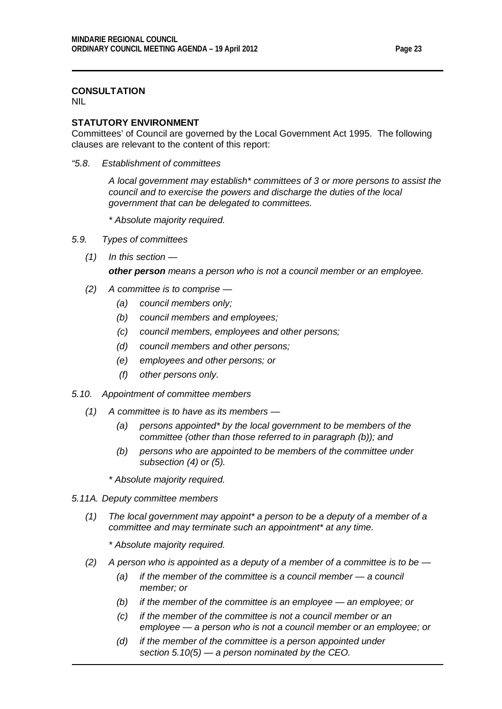## **CONSULTATION**

NIL

#### **STATUTORY ENVIRONMENT**

Committees' of Council are governed by the Local Government Act 1995. The following clauses are relevant to the content of this report:

*"5.8. Establishment of committees*

*A local government may establish\* committees of 3 or more persons to assist the council and to exercise the powers and discharge the duties of the local government that can be delegated to committees.*

- *\* Absolute majority required.*
- *5.9. Types of committees*
	- *(1) In this section —*

*other person means a person who is not a council member or an employee.*

- *(2) A committee is to comprise —*
	- *(a) council members only;*
	- *(b) council members and employees;*
	- *(c) council members, employees and other persons;*
	- *(d) council members and other persons;*
	- *(e) employees and other persons; or*
	- *(f) other persons only.*
- *5.10. Appointment of committee members* 
	- *(1) A committee is to have as its members —*
		- *(a) persons appointed\* by the local government to be members of the committee (other than those referred to in paragraph (b)); and*
		- *(b) persons who are appointed to be members of the committee under subsection (4) or (5).*
		- *\* Absolute majority required.*
- *5.11A. Deputy committee members*
	- *(1) The local government may appoint\* a person to be a deputy of a member of a committee and may terminate such an appointment\* at any time.*
		- *\* Absolute majority required.*
	- *(2) A person who is appointed as a deputy of a member of a committee is to be —*
		- *(a) if the member of the committee is a council member — a council member; or*
		- *(b) if the member of the committee is an employee — an employee; or*
		- *(c) if the member of the committee is not a council member or an employee — a person who is not a council member or an employee; or*
		- *(d) if the member of the committee is a person appointed under section 5.10(5) — a person nominated by the CEO.*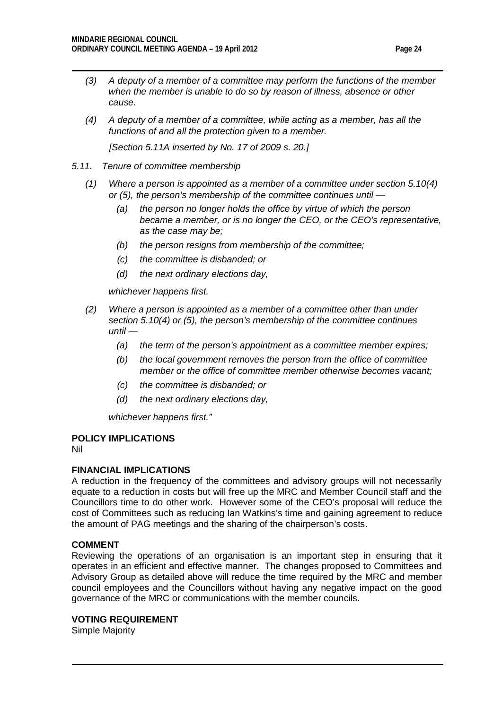- *(3) A deputy of a member of a committee may perform the functions of the member when the member is unable to do so by reason of illness, absence or other cause.*
- *(4) A deputy of a member of a committee, while acting as a member, has all the functions of and all the protection given to a member.*

*[Section 5.11A inserted by No. 17 of 2009 s. 20.]*

- *5.11. Tenure of committee membership*
	- *(1) Where a person is appointed as a member of a committee under section 5.10(4) or (5), the person's membership of the committee continues until —*
		- *(a) the person no longer holds the office by virtue of which the person became a member, or is no longer the CEO, or the CEO's representative, as the case may be;*
		- *(b) the person resigns from membership of the committee;*
		- *(c) the committee is disbanded; or*
		- *(d) the next ordinary elections day,*

*whichever happens first.*

- *(2) Where a person is appointed as a member of a committee other than under section 5.10(4) or (5), the person's membership of the committee continues until —*
	- *(a) the term of the person's appointment as a committee member expires;*
	- *(b) the local government removes the person from the office of committee member or the office of committee member otherwise becomes vacant;*
	- *(c) the committee is disbanded; or*
	- *(d) the next ordinary elections day,*

*whichever happens first."*

## **POLICY IMPLICATIONS**

Nil

## **FINANCIAL IMPLICATIONS**

A reduction in the frequency of the committees and advisory groups will not necessarily equate to a reduction in costs but will free up the MRC and Member Council staff and the Councillors time to do other work. However some of the CEO's proposal will reduce the cost of Committees such as reducing Ian Watkins's time and gaining agreement to reduce the amount of PAG meetings and the sharing of the chairperson's costs.

## **COMMENT**

Reviewing the operations of an organisation is an important step in ensuring that it operates in an efficient and effective manner. The changes proposed to Committees and Advisory Group as detailed above will reduce the time required by the MRC and member council employees and the Councillors without having any negative impact on the good governance of the MRC or communications with the member councils.

#### **VOTING REQUIREMENT**

Simple Majority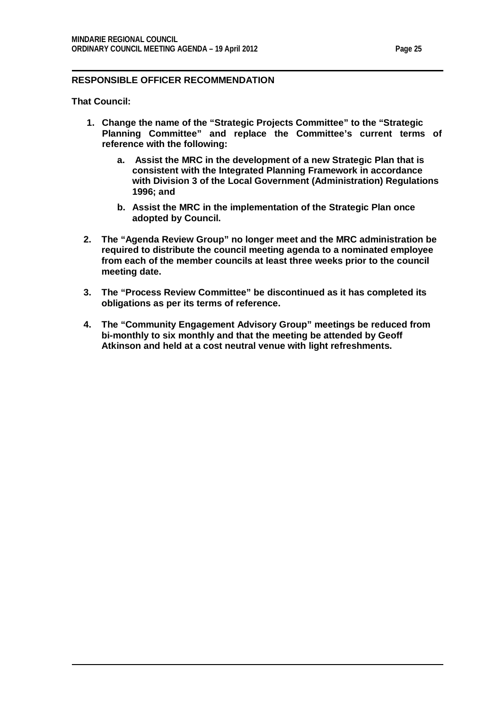## **RESPONSIBLE OFFICER RECOMMENDATION**

**That Council:**

- **1. Change the name of the "Strategic Projects Committee" to the "Strategic Planning Committee" and replace the Committee's current terms of reference with the following:**
	- **a. Assist the MRC in the development of a new Strategic Plan that is consistent with the Integrated Planning Framework in accordance with Division 3 of the Local Government (Administration) Regulations 1996; and**
	- **b. Assist the MRC in the implementation of the Strategic Plan once adopted by Council.**
- **2. The "Agenda Review Group" no longer meet and the MRC administration be required to distribute the council meeting agenda to a nominated employee from each of the member councils at least three weeks prior to the council meeting date.**
- **3. The "Process Review Committee" be discontinued as it has completed its obligations as per its terms of reference.**
- **4. The "Community Engagement Advisory Group" meetings be reduced from bi-monthly to six monthly and that the meeting be attended by Geoff Atkinson and held at a cost neutral venue with light refreshments.**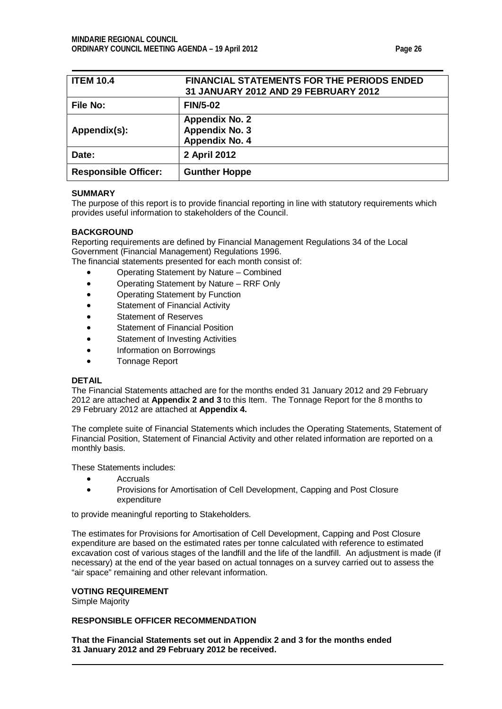<span id="page-25-0"></span>

| <b>ITEM 10.4</b>            | <b>FINANCIAL STATEMENTS FOR THE PERIODS ENDED</b><br>31 JANUARY 2012 AND 29 FEBRUARY 2012 |
|-----------------------------|-------------------------------------------------------------------------------------------|
| <b>File No:</b>             | <b>FIN/5-02</b>                                                                           |
| Appendix(s):                | <b>Appendix No. 2</b><br>Appendix No. 3<br>Appendix No. 4                                 |
| Date:                       | 2 April 2012                                                                              |
| <b>Responsible Officer:</b> | <b>Gunther Hoppe</b>                                                                      |

#### **SUMMARY**

The purpose of this report is to provide financial reporting in line with statutory requirements which provides useful information to stakeholders of the Council.

#### **BACKGROUND**

Reporting requirements are defined by Financial Management Regulations 34 of the Local Government (Financial Management) Regulations 1996.

The financial statements presented for each month consist of:

- Operating Statement by Nature Combined
- Operating Statement by Nature RRF Only
- Operating Statement by Function
- Statement of Financial Activity
- Statement of Reserves
- Statement of Financial Position
- Statement of Investing Activities
- Information on Borrowings
- Tonnage Report

#### **DETAIL**

The Financial Statements attached are for the months ended 31 January 2012 and 29 February 2012 are attached at **Appendix 2 and 3** to this Item. The Tonnage Report for the 8 months to 29 February 2012 are attached at **Appendix 4.**

The complete suite of Financial Statements which includes the Operating Statements, Statement of Financial Position, Statement of Financial Activity and other related information are reported on a monthly basis.

These Statements includes:

- Accruals
- Provisions for Amortisation of Cell Development, Capping and Post Closure expenditure

to provide meaningful reporting to Stakeholders.

The estimates for Provisions for Amortisation of Cell Development, Capping and Post Closure expenditure are based on the estimated rates per tonne calculated with reference to estimated excavation cost of various stages of the landfill and the life of the landfill. An adjustment is made (if necessary) at the end of the year based on actual tonnages on a survey carried out to assess the "air space" remaining and other relevant information.

#### **VOTING REQUIREMENT**

Simple Majority

#### **RESPONSIBLE OFFICER RECOMMENDATION**

**That the Financial Statements set out in Appendix 2 and 3 for the months ended 31 January 2012 and 29 February 2012 be received.**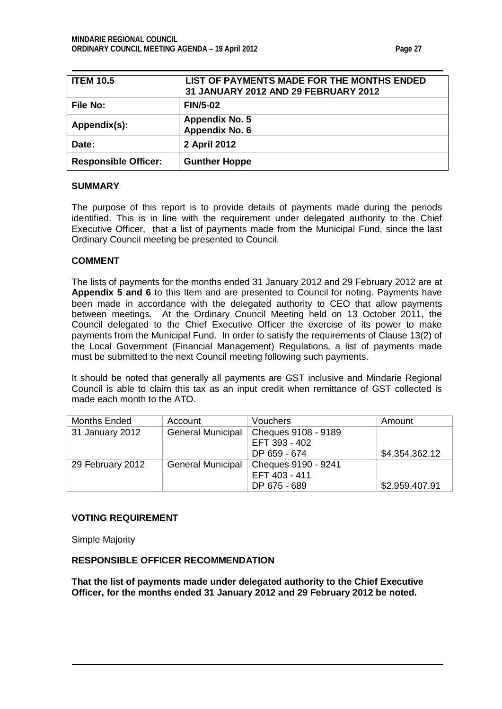<span id="page-26-1"></span><span id="page-26-0"></span>

| <b>ITEM 10.5</b>            | LIST OF PAYMENTS MADE FOR THE MONTHS ENDED<br>31 JANUARY 2012 AND 29 FEBRUARY 2012 |
|-----------------------------|------------------------------------------------------------------------------------|
| File No:                    | <b>FIN/5-02</b>                                                                    |
| Appendix(s):                | <b>Appendix No. 5</b><br>Appendix No. 6                                            |
| Date:                       | 2 April 2012                                                                       |
| <b>Responsible Officer:</b> | <b>Gunther Hoppe</b>                                                               |

#### **SUMMARY**

The purpose of this report is to provide details of payments made during the periods identified. This is in line with the requirement under delegated authority to the Chief Executive Officer, that a list of payments made from the Municipal Fund, since the last Ordinary Council meeting be presented to Council.

#### **COMMENT**

The lists of payments for the months ended 31 January 2012 and 29 February 2012 are at **Appendix 5 and 6** to this Item and are presented to Council for noting. Payments have been made in accordance with the delegated authority to CEO that allow payments between meetings. At the Ordinary Council Meeting held on 13 October 2011, the Council delegated to the Chief Executive Officer the exercise of its power to make payments from the Municipal Fund. In order to satisfy the requirements of Clause 13(2) of the Local Government (Financial Management) Regulations, a list of payments made must be submitted to the next Council meeting following such payments.

It should be noted that generally all payments are GST inclusive and Mindarie Regional Council is able to claim this tax as an input credit when remittance of GST collected is made each month to the ATO.

| Months Ended     | Account                  | Vouchers            | Amount         |
|------------------|--------------------------|---------------------|----------------|
| 31 January 2012  | <b>General Municipal</b> | Cheques 9108 - 9189 |                |
|                  |                          | EFT 393 - 402       |                |
|                  |                          | DP 659 - 674        | \$4,354,362.12 |
| 29 February 2012 | <b>General Municipal</b> | Cheques 9190 - 9241 |                |
|                  |                          | EFT 403 - 411       |                |
|                  |                          | DP 675 - 689        | \$2,959,407.91 |

#### **VOTING REQUIREMENT**

Simple Majority

#### **RESPONSIBLE OFFICER RECOMMENDATION**

**That the list of payments made under delegated authority to the Chief Executive Officer, for the months ended 31 January 2012 and 29 February 2012 be noted.**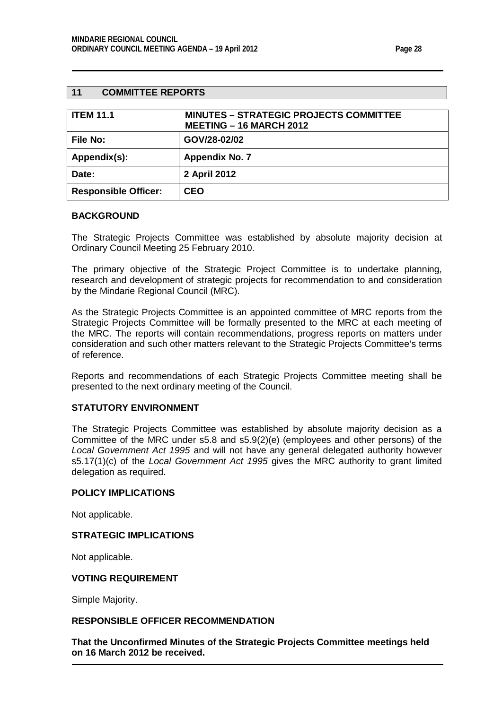#### <span id="page-27-0"></span>**11 COMMITTEE REPORTS**

<span id="page-27-1"></span>

| <b>ITEM 11.1</b>            | <b>MINUTES - STRATEGIC PROJECTS COMMITTEE</b><br><b>MEETING - 16 MARCH 2012</b> |
|-----------------------------|---------------------------------------------------------------------------------|
| <b>File No:</b>             | GOV/28-02/02                                                                    |
| Appendix(s):                | <b>Appendix No. 7</b>                                                           |
| Date:                       | 2 April 2012                                                                    |
| <b>Responsible Officer:</b> | <b>CEO</b>                                                                      |

#### **BACKGROUND**

The Strategic Projects Committee was established by absolute majority decision at Ordinary Council Meeting 25 February 2010.

The primary objective of the Strategic Project Committee is to undertake planning, research and development of strategic projects for recommendation to and consideration by the Mindarie Regional Council (MRC).

As the Strategic Projects Committee is an appointed committee of MRC reports from the Strategic Projects Committee will be formally presented to the MRC at each meeting of the MRC. The reports will contain recommendations, progress reports on matters under consideration and such other matters relevant to the Strategic Projects Committee's terms of reference.

Reports and recommendations of each Strategic Projects Committee meeting shall be presented to the next ordinary meeting of the Council.

#### **STATUTORY ENVIRONMENT**

The Strategic Projects Committee was established by absolute majority decision as a Committee of the MRC under s5.8 and s5.9(2)(e) (employees and other persons) of the *Local Government Act 1995* and will not have any general delegated authority however s5.17(1)(c) of the *Local Government Act 1995* gives the MRC authority to grant limited delegation as required.

## **POLICY IMPLICATIONS**

Not applicable.

#### **STRATEGIC IMPLICATIONS**

Not applicable.

#### **VOTING REQUIREMENT**

Simple Majority.

#### **RESPONSIBLE OFFICER RECOMMENDATION**

**That the Unconfirmed Minutes of the Strategic Projects Committee meetings held on 16 March 2012 be received.**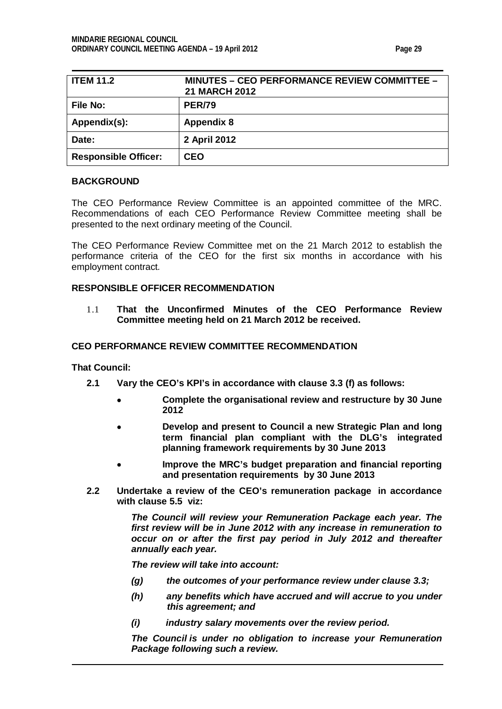| <b>ITEM 11.2</b>            | <u> MINUTES – CEO PERFORMANCE REVIEW COMMITTEE –</u><br><b>21 MARCH 2012</b> |
|-----------------------------|------------------------------------------------------------------------------|
| File No:                    | <b>PER/79</b>                                                                |
| Appendix(s):                | <b>Appendix 8</b>                                                            |
| Date:                       | 2 April 2012                                                                 |
| <b>Responsible Officer:</b> | <b>CEO</b>                                                                   |

#### **BACKGROUND**

The CEO Performance Review Committee is an appointed committee of the MRC. Recommendations of each CEO Performance Review Committee meeting shall be presented to the next ordinary meeting of the Council.

The CEO Performance Review Committee met on the 21 March 2012 to establish the performance criteria of the CEO for the first six months in accordance with his employment contract*.*

## **RESPONSIBLE OFFICER RECOMMENDATION**

1.1 **That the Unconfirmed Minutes of the CEO Performance Review Committee meeting held on 21 March 2012 be received.**

## **CEO PERFORMANCE REVIEW COMMITTEE RECOMMENDATION**

**That Council:**

- **2.1 Vary the CEO's KPI's in accordance with clause 3.3 (f) as follows:**
	- **Complete the organisational review and restructure by 30 June 2012**
	- **Develop and present to Council a new Strategic Plan and long term financial plan compliant with the DLG's integrated planning framework requirements by 30 June 2013**
	- **Improve the MRC's budget preparation and financial reporting and presentation requirements by 30 June 2013**
- **2.2 Undertake a review of the CEO's remuneration package in accordance with clause 5.5 viz:**

*The Council will review your Remuneration Package each year. The first review will be in June 2012 with any increase in remuneration to occur on or after the first pay period in July 2012 and thereafter annually each year.*

*The review will take into account:*

- *(g) the outcomes of your performance review under clause 3.3;*
- *(h) any benefits which have accrued and will accrue to you under this agreement; and*
- *(i) industry salary movements over the review period.*

*The Council is under no obligation to increase your Remuneration Package following such a review.*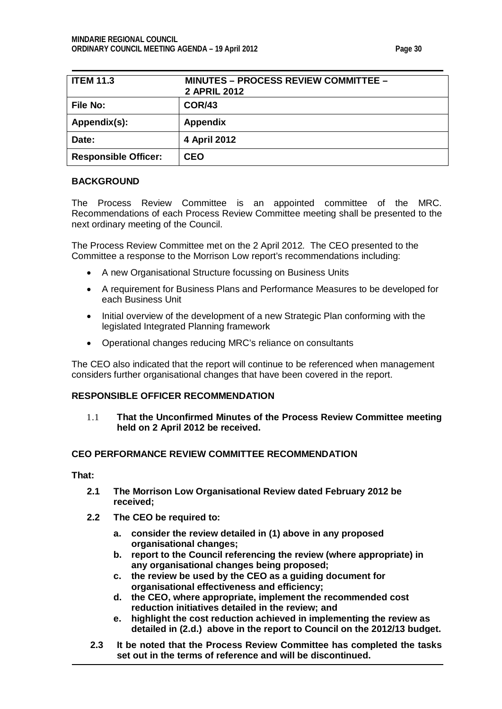| <b>ITEM 11.3</b>            | <b>MINUTES - PROCESS REVIEW COMMITTEE -</b><br><b>2 APRIL 2012</b> |
|-----------------------------|--------------------------------------------------------------------|
| File No:                    | <b>COR/43</b>                                                      |
| Appendix(s):                | <b>Appendix</b>                                                    |
| Date:                       | 4 April 2012                                                       |
| <b>Responsible Officer:</b> | <b>CEO</b>                                                         |

## **BACKGROUND**

The Process Review Committee is an appointed committee of the MRC. Recommendations of each Process Review Committee meeting shall be presented to the next ordinary meeting of the Council.

The Process Review Committee met on the 2 April 2012*.* The CEO presented to the Committee a response to the Morrison Low report's recommendations including:

- A new Organisational Structure focussing on Business Units
- A requirement for Business Plans and Performance Measures to be developed for each Business Unit
- Initial overview of the development of a new Strategic Plan conforming with the legislated Integrated Planning framework
- Operational changes reducing MRC's reliance on consultants

The CEO also indicated that the report will continue to be referenced when management considers further organisational changes that have been covered in the report.

## **RESPONSIBLE OFFICER RECOMMENDATION**

1.1 **That the Unconfirmed Minutes of the Process Review Committee meeting held on 2 April 2012 be received.**

## **CEO PERFORMANCE REVIEW COMMITTEE RECOMMENDATION**

**That:**

- **2.1 The Morrison Low Organisational Review dated February 2012 be received;**
- **2.2 The CEO be required to:**
	- **a. consider the review detailed in (1) above in any proposed organisational changes;**
	- **b. report to the Council referencing the review (where appropriate) in any organisational changes being proposed;**
	- **c. the review be used by the CEO as a guiding document for organisational effectiveness and efficiency;**
	- **d. the CEO, where appropriate, implement the recommended cost reduction initiatives detailed in the review; and**
	- **e. highlight the cost reduction achieved in implementing the review as detailed in (2.d.) above in the report to Council on the 2012/13 budget.**
- **2.3 It be noted that the Process Review Committee has completed the tasks set out in the terms of reference and will be discontinued.**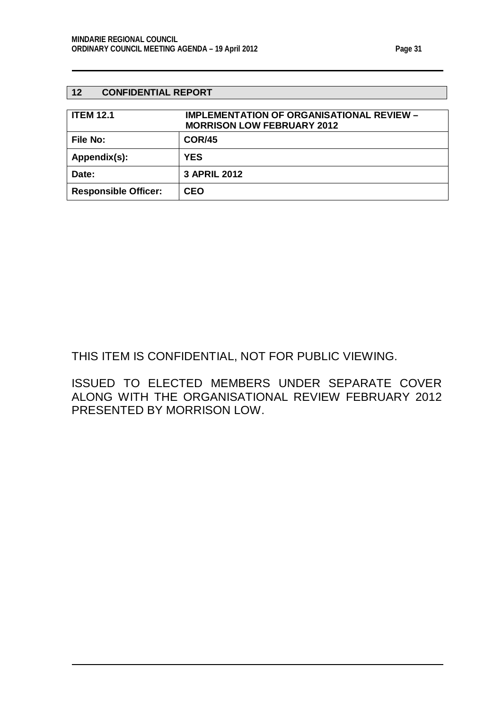## <span id="page-30-0"></span>**12 CONFIDENTIAL REPORT**

<span id="page-30-1"></span>

| <b>ITEM 12.1</b>            | IMPLEMENTATION OF ORGANISATIONAL REVIEW -<br><b>MORRISON LOW FEBRUARY 2012</b> |
|-----------------------------|--------------------------------------------------------------------------------|
| File No:                    | <b>COR/45</b>                                                                  |
| Appendix(s):                | <b>YES</b>                                                                     |
| Date:                       | <b>3 APRIL 2012</b>                                                            |
| <b>Responsible Officer:</b> | <b>CEO</b>                                                                     |

# THIS ITEM IS CONFIDENTIAL, NOT FOR PUBLIC VIEWING.

ISSUED TO ELECTED MEMBERS UNDER SEPARATE COVER ALONG WITH THE ORGANISATIONAL REVIEW FEBRUARY 2012 PRESENTED BY MORRISON LOW.